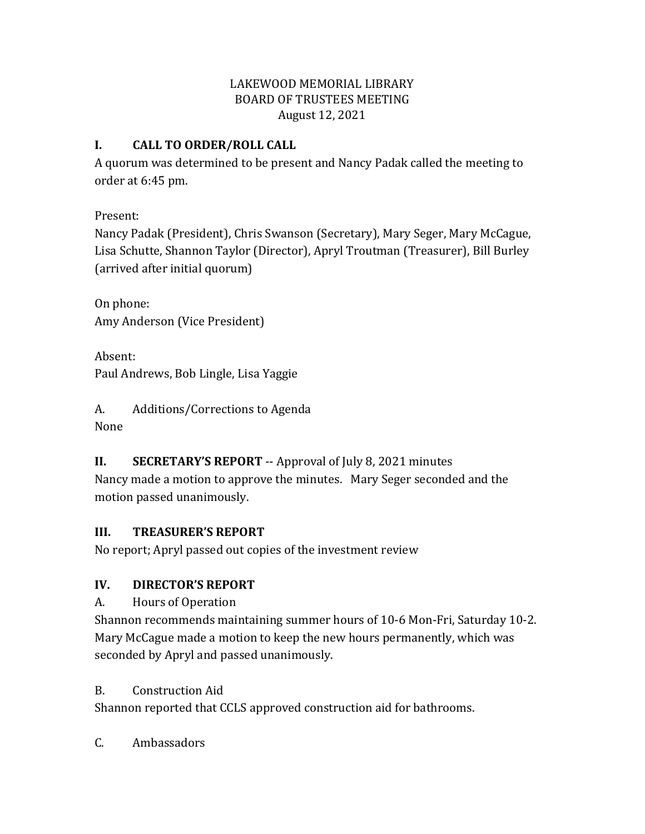### LAKEWOOD MEMORIAL LIBRARY BOARD OF TRUSTEES MEETING August 12, 2021

### **I. CALL TO ORDER/ROLL CALL**

A quorum was determined to be present and Nancy Padak called the meeting to order at 6:45 pm.

Present:

Nancy Padak (President), Chris Swanson (Secretary), Mary Seger, Mary McCague, Lisa Schutte, Shannon Taylor (Director), Apryl Troutman (Treasurer), Bill Burley (arrived after initial quorum)

On phone: Amy Anderson (Vice President)

Absent: Paul Andrews, Bob Lingle, Lisa Yaggie

A. Additions/Corrections to Agenda None

# **II. SECRETARY'S REPORT** -- Approval of July 8, 2021 minutes

Nancy made a motion to approve the minutes. Mary Seger seconded and the motion passed unanimously.

## **III. TREASURER'S REPORT**

No report; Apryl passed out copies of the investment review

## **IV. DIRECTOR'S REPORT**

A. Hours of Operation

Shannon recommends maintaining summer hours of 10-6 Mon-Fri, Saturday 10-2. Mary McCague made a motion to keep the new hours permanently, which was seconded by Apryl and passed unanimously.

## B. Construction Aid

Shannon reported that CCLS approved construction aid for bathrooms.

C. Ambassadors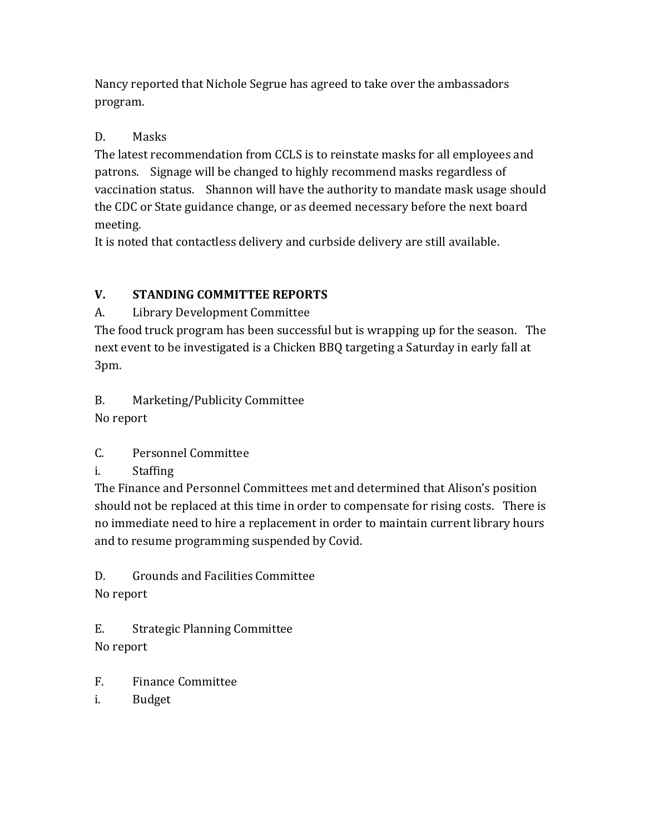Nancy reported that Nichole Segrue has agreed to take over the ambassadors program.

## D. Masks

The latest recommendation from CCLS is to reinstate masks for all employees and patrons. Signage will be changed to highly recommend masks regardless of vaccination status. Shannon will have the authority to mandate mask usage should the CDC or State guidance change, or as deemed necessary before the next board meeting.

It is noted that contactless delivery and curbside delivery are still available.

# **V. STANDING COMMITTEE REPORTS**

# A. Library Development Committee

The food truck program has been successful but is wrapping up for the season. The next event to be investigated is a Chicken BBQ targeting a Saturday in early fall at 3pm.

# B. Marketing/Publicity Committee

No report

# C. Personnel Committee

# i. Staffing

The Finance and Personnel Committees met and determined that Alison's position should not be replaced at this time in order to compensate for rising costs. There is no immediate need to hire a replacement in order to maintain current library hours and to resume programming suspended by Covid.

D. Grounds and Facilities Committee No report

E. Strategic Planning Committee

No report

- F. Finance Committee
- i. Budget